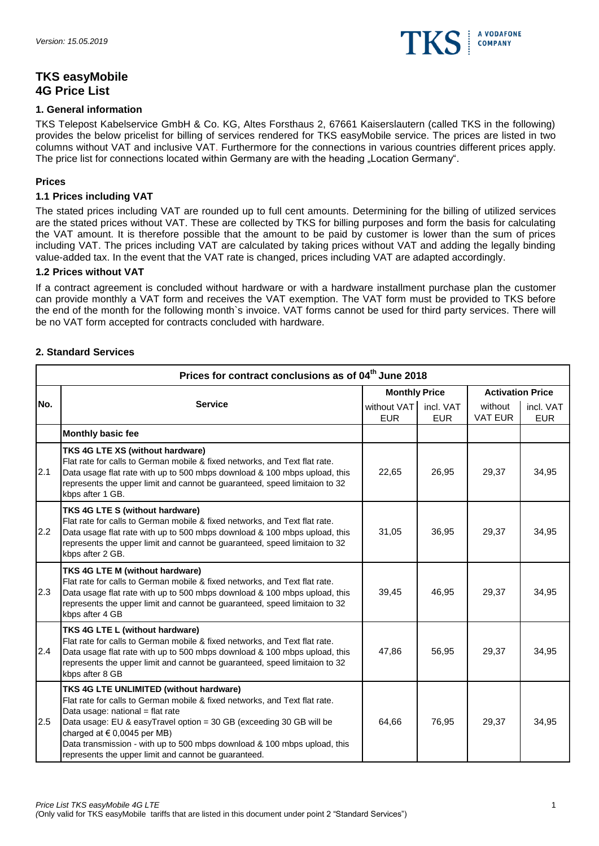

# **TKS easyMobile 4G Price List**

#### **1. General information**

TKS Telepost Kabelservice GmbH & Co. KG, Altes Forsthaus 2, 67661 Kaiserslautern (called TKS in the following) provides the below pricelist for billing of services rendered for TKS easyMobile service. The prices are listed in two columns without VAT and inclusive VAT. Furthermore for the connections in various countries different prices apply. The price list for connections located within Germany are with the heading "Location Germany".

#### **Prices**

#### **1.1 Prices including VAT**

The stated prices including VAT are rounded up to full cent amounts. Determining for the billing of utilized services are the stated prices without VAT. These are collected by TKS for billing purposes and form the basis for calculating the VAT amount. It is therefore possible that the amount to be paid by customer is lower than the sum of prices including VAT. The prices including VAT are calculated by taking prices without VAT and adding the legally binding value-added tax. In the event that the VAT rate is changed, prices including VAT are adapted accordingly.

#### **1.2 Prices without VAT**

If a contract agreement is concluded without hardware or with a hardware installment purchase plan the customer can provide monthly a VAT form and receives the VAT exemption. The VAT form must be provided to TKS before the end of the month for the following month`s invoice. VAT forms cannot be used for third party services. There will be no VAT form accepted for contracts concluded with hardware.

#### **2. Standard Services**

|     | Prices for contract conclusions as of 04 <sup>th</sup> June 2018                                                                                                                                                                                                                                                                                                                                        |                      |                                        |                           |                         |  |  |
|-----|---------------------------------------------------------------------------------------------------------------------------------------------------------------------------------------------------------------------------------------------------------------------------------------------------------------------------------------------------------------------------------------------------------|----------------------|----------------------------------------|---------------------------|-------------------------|--|--|
|     |                                                                                                                                                                                                                                                                                                                                                                                                         | <b>Monthly Price</b> |                                        | <b>Activation Price</b>   |                         |  |  |
| No. | <b>Service</b>                                                                                                                                                                                                                                                                                                                                                                                          |                      | without VAT<br>incl. VAT<br><b>EUR</b> | without<br><b>VAT EUR</b> | incl. VAT<br><b>EUR</b> |  |  |
|     | Monthly basic fee                                                                                                                                                                                                                                                                                                                                                                                       |                      |                                        |                           |                         |  |  |
| 2.1 | TKS 4G LTE XS (without hardware)<br>Flat rate for calls to German mobile & fixed networks, and Text flat rate.<br>Data usage flat rate with up to 500 mbps download & 100 mbps upload, this<br>represents the upper limit and cannot be guaranteed, speed limitaion to 32<br>kbps after 1 GB.                                                                                                           | 22,65                | 26,95                                  | 29,37                     | 34,95                   |  |  |
| 2.2 | TKS 4G LTE S (without hardware)<br>Flat rate for calls to German mobile & fixed networks, and Text flat rate.<br>Data usage flat rate with up to 500 mbps download & 100 mbps upload, this<br>represents the upper limit and cannot be guaranteed, speed limitaion to 32<br>kbps after 2 GB.                                                                                                            | 31,05                | 36,95                                  | 29,37                     | 34,95                   |  |  |
| 2.3 | TKS 4G LTE M (without hardware)<br>Flat rate for calls to German mobile & fixed networks, and Text flat rate.<br>Data usage flat rate with up to 500 mbps download & 100 mbps upload, this<br>represents the upper limit and cannot be guaranteed, speed limitaion to 32<br>kbps after 4 GB                                                                                                             | 39,45                | 46,95                                  | 29,37                     | 34,95                   |  |  |
| 2.4 | TKS 4G LTE L (without hardware)<br>Flat rate for calls to German mobile & fixed networks, and Text flat rate.<br>Data usage flat rate with up to 500 mbps download & 100 mbps upload, this<br>represents the upper limit and cannot be guaranteed, speed limitaion to 32<br>kbps after 8 GB                                                                                                             | 47,86                | 56,95                                  | 29,37                     | 34,95                   |  |  |
| 2.5 | TKS 4G LTE UNLIMITED (without hardware)<br>Flat rate for calls to German mobile & fixed networks, and Text flat rate.<br>Data usage: national = flat rate<br>Data usage: EU & easyTravel option = 30 GB (exceeding 30 GB will be<br>charged at $\in$ 0,0045 per MB)<br>Data transmission - with up to 500 mbps download & 100 mbps upload, this<br>represents the upper limit and cannot be guaranteed. | 64,66                | 76,95                                  | 29,37                     | 34,95                   |  |  |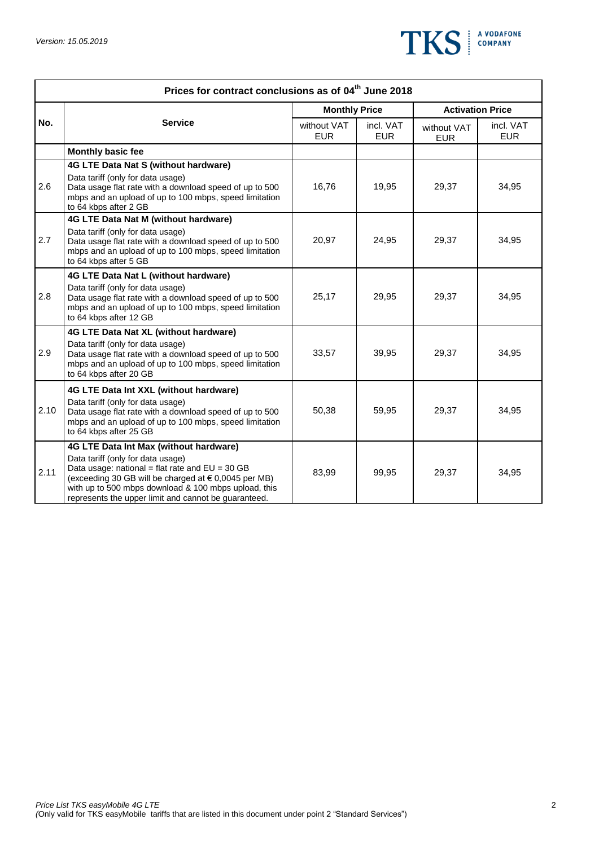

|      | Prices for contract conclusions as of 04 <sup>th</sup> June 2018                                                                                                                                                                                                                                         |                           |                         |                           |                         |  |  |  |
|------|----------------------------------------------------------------------------------------------------------------------------------------------------------------------------------------------------------------------------------------------------------------------------------------------------------|---------------------------|-------------------------|---------------------------|-------------------------|--|--|--|
| No.  |                                                                                                                                                                                                                                                                                                          | <b>Monthly Price</b>      |                         | <b>Activation Price</b>   |                         |  |  |  |
|      | <b>Service</b>                                                                                                                                                                                                                                                                                           | without VAT<br><b>EUR</b> | incl. VAT<br><b>EUR</b> | without VAT<br><b>EUR</b> | incl. VAT<br><b>EUR</b> |  |  |  |
|      | Monthly basic fee                                                                                                                                                                                                                                                                                        |                           |                         |                           |                         |  |  |  |
| 2.6  | 4G LTE Data Nat S (without hardware)<br>Data tariff (only for data usage)<br>Data usage flat rate with a download speed of up to 500<br>mbps and an upload of up to 100 mbps, speed limitation<br>to 64 kbps after 2 GB                                                                                  | 16,76                     | 19,95                   | 29,37                     | 34,95                   |  |  |  |
| 2.7  | <b>4G LTE Data Nat M (without hardware)</b><br>Data tariff (only for data usage)<br>Data usage flat rate with a download speed of up to 500<br>mbps and an upload of up to 100 mbps, speed limitation<br>to 64 kbps after 5 GB                                                                           | 20,97                     | 24,95                   | 29,37                     | 34,95                   |  |  |  |
| 2.8  | 4G LTE Data Nat L (without hardware)<br>Data tariff (only for data usage)<br>Data usage flat rate with a download speed of up to 500<br>mbps and an upload of up to 100 mbps, speed limitation<br>to 64 kbps after 12 GB                                                                                 | 25,17                     | 29,95                   | 29,37                     | 34,95                   |  |  |  |
| 2.9  | 4G LTE Data Nat XL (without hardware)<br>Data tariff (only for data usage)<br>Data usage flat rate with a download speed of up to 500<br>mbps and an upload of up to 100 mbps, speed limitation<br>to 64 kbps after 20 GB                                                                                | 33,57                     | 39,95                   | 29,37                     | 34,95                   |  |  |  |
| 2.10 | 4G LTE Data Int XXL (without hardware)<br>Data tariff (only for data usage)<br>Data usage flat rate with a download speed of up to 500<br>mbps and an upload of up to 100 mbps, speed limitation<br>to 64 kbps after 25 GB                                                                               | 50,38                     | 59,95                   | 29,37                     | 34,95                   |  |  |  |
| 2.11 | 4G LTE Data Int Max (without hardware)<br>Data tariff (only for data usage)<br>Data usage: national = flat rate and $EU = 30 GB$<br>(exceeding 30 GB will be charged at € 0,0045 per MB)<br>with up to 500 mbps download & 100 mbps upload, this<br>represents the upper limit and cannot be guaranteed. | 83,99                     | 99,95                   | 29,37                     | 34,95                   |  |  |  |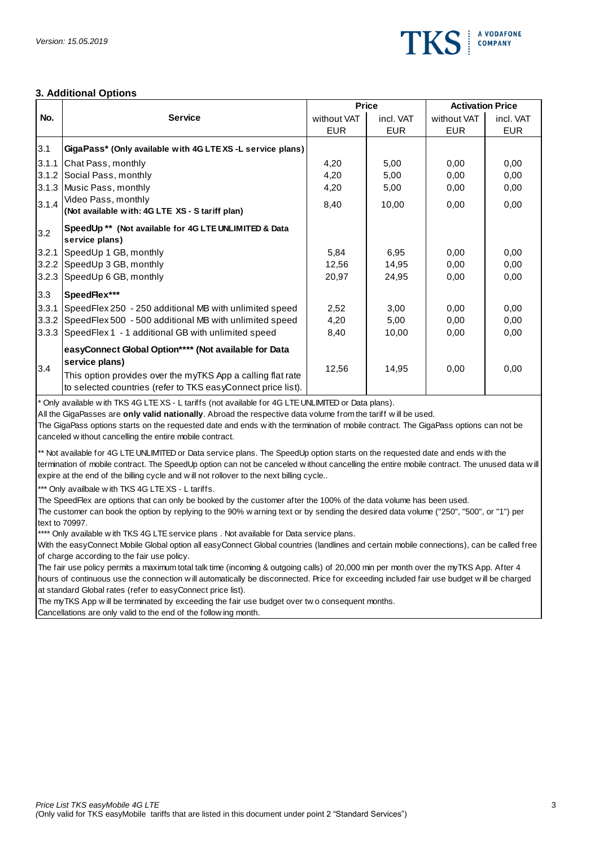

#### **3. Additional Options**

|       |                                                                                                                                                                                                                                                                                                                                                                                                                          |             | <b>Price</b> | <b>Activation Price</b> |            |
|-------|--------------------------------------------------------------------------------------------------------------------------------------------------------------------------------------------------------------------------------------------------------------------------------------------------------------------------------------------------------------------------------------------------------------------------|-------------|--------------|-------------------------|------------|
| No.   | <b>Service</b>                                                                                                                                                                                                                                                                                                                                                                                                           | without VAT | incl. VAT    | without VAT             | incl. VAT  |
|       |                                                                                                                                                                                                                                                                                                                                                                                                                          | <b>EUR</b>  | <b>EUR</b>   | <b>EUR</b>              | <b>EUR</b> |
| 3.1   | GigaPass* (Only available with 4G LTEXS-L service plans)                                                                                                                                                                                                                                                                                                                                                                 |             |              |                         |            |
| 3.1.1 | Chat Pass, monthly                                                                                                                                                                                                                                                                                                                                                                                                       | 4,20        | 5,00         | 0.00                    | 0,00       |
| 3.1.2 | Social Pass, monthly                                                                                                                                                                                                                                                                                                                                                                                                     | 4,20        | 5,00         | 0,00                    | 0,00       |
|       | 3.1.3 Music Pass, monthly                                                                                                                                                                                                                                                                                                                                                                                                | 4,20        | 5,00         | 0,00                    | 0,00       |
| 3.1.4 | Video Pass, monthly<br>(Not available with: 4G LTE XS - Stariff plan)                                                                                                                                                                                                                                                                                                                                                    | 8,40        | 10,00        | 0,00                    | 0,00       |
| 3.2   | SpeedUp ** (Not available for 4G LTE UNLIMITED & Data<br>service plans)                                                                                                                                                                                                                                                                                                                                                  |             |              |                         |            |
| 3.2.1 | SpeedUp 1 GB, monthly                                                                                                                                                                                                                                                                                                                                                                                                    | 5,84        | 6,95         | 0.00                    | 0.00       |
| 3.2.2 | SpeedUp 3 GB, monthly                                                                                                                                                                                                                                                                                                                                                                                                    | 12,56       | 14,95        | 0,00                    | 0,00       |
| 3.2.3 | SpeedUp 6 GB, monthly                                                                                                                                                                                                                                                                                                                                                                                                    | 20,97       | 24,95        | 0,00                    | 0,00       |
| 3.3   | SpeedFlex***                                                                                                                                                                                                                                                                                                                                                                                                             |             |              |                         |            |
| 3.3.1 | SpeedFlex 250 - 250 additional MB with unlimited speed                                                                                                                                                                                                                                                                                                                                                                   | 2,52        | 3,00         | 0.00                    | 0,00       |
| 3.3.2 | SpeedFlex 500 - 500 additional MB with unlimited speed                                                                                                                                                                                                                                                                                                                                                                   | 4,20        | 5,00         | 0,00                    | 0,00       |
| 3.3.3 | SpeedFlex 1 - 1 additional GB with unlimited speed                                                                                                                                                                                                                                                                                                                                                                       | 8,40        | 10,00        | 0,00                    | 0,00       |
| 3.4   | easyConnect Global Option**** (Not available for Data<br>service plans)                                                                                                                                                                                                                                                                                                                                                  | 12,56       | 14,95        | 0,00                    | 0,00       |
|       | This option provides over the myTKS App a calling flat rate<br>to selected countries (refer to TKS easyConnect price list).                                                                                                                                                                                                                                                                                              |             |              |                         |            |
|       | * Only available w ith TKS 4G LTE XS - L tariffs (not available for 4G LTE UNLIMITED or Data plans).<br>All the GigaPasses are only valid nationally. Abroad the respective data volume from the tariff will be used.<br>The GigaPass options starts on the requested date and ends w ith the termination of mobile contract. The GigaPass options can not be<br>canceled without cancelling the entire mobile contract. |             |              |                         |            |

\*\* Not available for 4G LTE UNLIMITED or Data service plans. The SpeedUp option starts on the requested date and ends w ith the The GigaPass options starts on the requested date and ends w ith the termination of mobile contract. The GigaPass options can not be canceled w ithout cancelling the entire mobile contract.<br>\*\* Not available for 4G LTE UNLI canceled w ithout cancelling the entire mobile contract.<br>\*\* Not available for 4G LTE UNLIMITED or Data service plans. The SpeedUp optic<br>termination of mobile contract. The SpeedUp option can not be canceled w ithout<br>expire \*\* Not available for 4G LTE UNLIMITED or Data set<br>termination of mobile contract. The SpeedUp optio<br>expire at the end of the billing cycle and will not re<br>\*\*\* Only availbale w ith TKS 4G LTE XS - L tariffs.<br>The SpeedFlex a

The SpeedFlex are options that can only be booked by the customer after the 100% of the data volume has been used.

The SpeedFlex are options that can only be booked by the customer after the 100% of t<br>The Customer can book the option by replying to the 90% w arning text or by sending the<br>text to 70997.<br>\*\*\*\* Only available w ith TKS 4G expire at the end of the billing cycle and w ill not rollover to the next billing cycle..<br>\*\*\* Only availbale w ith TKS 4G LTE XS - L tariffs.<br>The SpeedFlex are options that can only be booked by the customer after the 100% text to 70997.<br>\*\*\*\* Only available with TKS 4G LTE service plans . Not available for Data service plans.

of charge according to the fair use policy.

With the easyConnect Mobile Global option all easyConnect Global countries (landlines and certain mobile connections), can be called free<br>of charge according to the fair use policy.<br>The fair use policy permits a maximum to or charge according to the rail tase policy.<br>The fair use policy permits a maximum total talk time (incoming & outgoing calls) of 20,000 min per month over the myTKS App. After 4<br>hours of continuous use the connection w il at standard Global rates (refer to easyConnect price list). hours of continuous use the connection will automatically be disconnected. Price for exceeding included fair use budget will be charged<br>at standard Global rates (refer to easyConnect price list).<br>The myTKS App will be term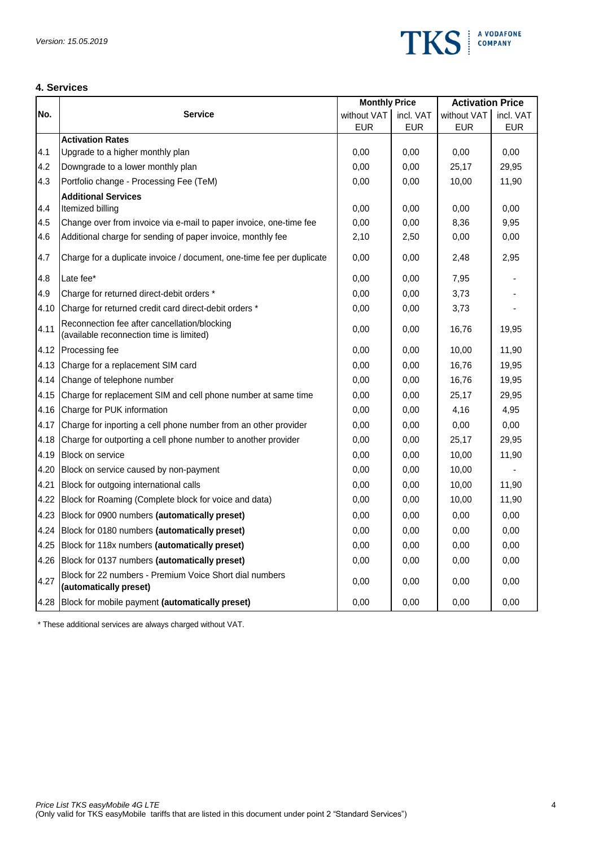

### **4. Services**

|      |                                                                                          | <b>Monthly Price</b> |            | <b>Activation Price</b> |            |
|------|------------------------------------------------------------------------------------------|----------------------|------------|-------------------------|------------|
| No.  | <b>Service</b>                                                                           | without VAT          | incl. VAT  | without VAT             | incl. VAT  |
|      |                                                                                          | <b>EUR</b>           | <b>EUR</b> | <b>EUR</b>              | <b>EUR</b> |
|      | <b>Activation Rates</b>                                                                  |                      |            |                         |            |
| 4.1  | Upgrade to a higher monthly plan                                                         | 0,00                 | 0,00       | 0,00                    | 0,00       |
| 4.2  | Downgrade to a lower monthly plan                                                        | 0,00                 | 0,00       | 25,17                   | 29,95      |
| 4.3  | Portfolio change - Processing Fee (TeM)                                                  | 0,00                 | 0,00       | 10,00                   | 11,90      |
|      | <b>Additional Services</b>                                                               |                      |            |                         |            |
| 4.4  | Itemized billing                                                                         | 0,00                 | 0,00       | 0,00                    | 0,00       |
| 4.5  | Change over from invoice via e-mail to paper invoice, one-time fee                       | 0,00                 | 0,00       | 8,36                    | 9,95       |
| 4.6  | Additional charge for sending of paper invoice, monthly fee                              | 2,10                 | 2,50       | 0,00                    | 0,00       |
| 4.7  | Charge for a duplicate invoice / document, one-time fee per duplicate                    | 0,00                 | 0,00       | 2,48                    | 2,95       |
| 4.8  | Late fee*                                                                                | 0,00                 | 0.00       | 7,95                    |            |
| 4.9  | Charge for returned direct-debit orders *                                                | 0,00                 | 0,00       | 3,73                    |            |
| 4.10 | Charge for returned credit card direct-debit orders *                                    | 0,00                 | 0,00       | 3,73                    |            |
| 4.11 | Reconnection fee after cancellation/blocking<br>(available reconnection time is limited) | 0,00                 | 0,00       | 16,76                   | 19,95      |
| 4.12 | Processing fee                                                                           | 0,00                 | 0,00       | 10,00                   | 11,90      |
| 4.13 | Charge for a replacement SIM card                                                        | 0,00                 | 0,00       | 16,76                   | 19,95      |
| 4.14 | Change of telephone number                                                               | 0,00                 | 0,00       | 16,76                   | 19,95      |
| 4.15 | Charge for replacement SIM and cell phone number at same time                            | 0,00                 | 0,00       | 25,17                   | 29,95      |
| 4.16 | Charge for PUK information                                                               | 0,00                 | 0,00       | 4,16                    | 4,95       |
| 4.17 | Charge for inporting a cell phone number from an other provider                          | 0,00                 | 0,00       | 0,00                    | 0,00       |
| 4.18 | Charge for outporting a cell phone number to another provider                            | 0,00                 | 0,00       | 25,17                   | 29,95      |
| 4.19 | <b>Block on service</b>                                                                  | 0,00                 | 0,00       | 10,00                   | 11,90      |
| 4.20 | Block on service caused by non-payment                                                   | 0,00                 | 0,00       | 10,00                   |            |
| 4.21 | Block for outgoing international calls                                                   | 0,00                 | 0,00       | 10,00                   | 11,90      |
| 4.22 | Block for Roaming (Complete block for voice and data)                                    | 0,00                 | 0,00       | 10,00                   | 11,90      |
| 4.23 | Block for 0900 numbers (automatically preset)                                            | 0,00                 | 0,00       | 0,00                    | 0,00       |
| 4.24 | Block for 0180 numbers (automatically preset)                                            | 0,00                 | 0,00       | 0,00                    | 0,00       |
| 4.25 | Block for 118x numbers (automatically preset)                                            | 0,00                 | 0,00       | 0,00                    | 0,00       |
| 4.26 | Block for 0137 numbers (automatically preset)                                            | 0,00                 | 0,00       | 0,00                    | 0,00       |
| 4.27 | Block for 22 numbers - Premium Voice Short dial numbers<br>(automatically preset)        | 0,00                 | 0,00       | 0,00                    | 0,00       |
| 4.28 | Block for mobile payment (automatically preset)                                          | 0,00                 | 0,00       | 0,00                    | 0,00       |

\* These additional services are always charged without VAT.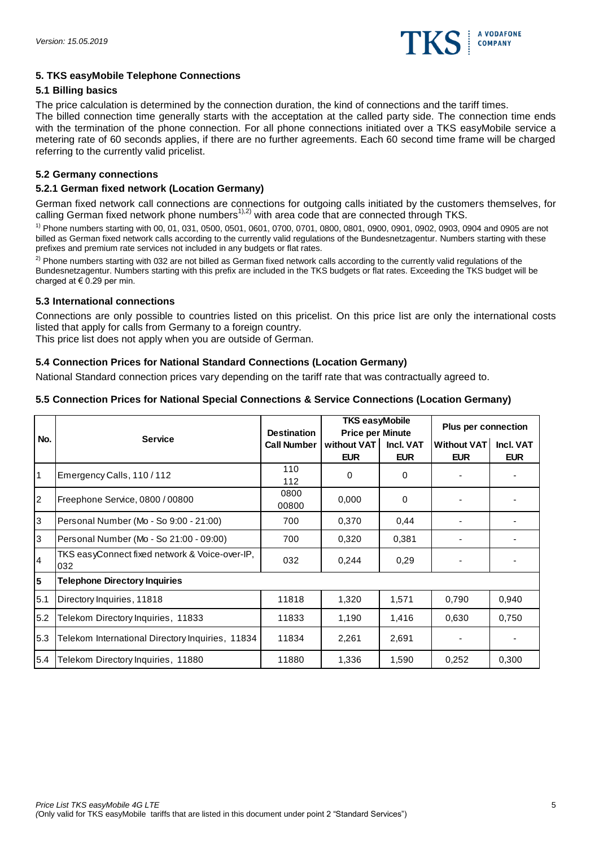

#### **5. TKS easyMobile Telephone Connections**

#### **5.1 Billing basics**

The price calculation is determined by the connection duration, the kind of connections and the tariff times.

The billed connection time generally starts with the acceptation at the called party side. The connection time ends with the termination of the phone connection. For all phone connections initiated over a TKS easyMobile service a metering rate of 60 seconds applies, if there are no further agreements. Each 60 second time frame will be charged referring to the currently valid pricelist.

### **5.2 Germany connections**

### **5.2.1 German fixed network (Location Germany)**

German fixed network call connections are connections for outgoing calls initiated by the customers themselves, for calling German fixed network phone numbers<sup>1),2)</sup> with area code that are connected through TKS.

1) Phone numbers starting with 00, 01, 031, 0500, 0501, 0601, 0700, 0701, 0800, 0801, 0900, 0901, 0902, 0903, 0904 and 0905 are not billed as German fixed network calls according to the currently valid regulations of the Bundesnetzagentur. Numbers starting with these prefixes and premium rate services not included in any budgets or flat rates.

 $2)$  Phone numbers starting with 032 are not billed as German fixed network calls according to the currently valid regulations of the Bundesnetzagentur. Numbers starting with this prefix are included in the TKS budgets or flat rates. Exceeding the TKS budget will be charged at € 0.29 per min.

# **5.3 International connections**

Connections are only possible to countries listed on this pricelist. On this price list are only the international costs listed that apply for calls from Germany to a foreign country.

This price list does not apply when you are outside of German.

# **5.4 Connection Prices for National Standard Connections (Location Germany)**

National Standard connection prices vary depending on the tariff rate that was contractually agreed to.

# **5.5 Connection Prices for National Special Connections & Service Connections (Location Germany)**

|     | <b>Service</b>                                        | <b>Destination</b> | <b>TKS easyMobile</b><br><b>Price per Minute</b> |                         | <b>Plus per connection</b> |                         |
|-----|-------------------------------------------------------|--------------------|--------------------------------------------------|-------------------------|----------------------------|-------------------------|
| No. |                                                       | <b>Call Number</b> | without VAT<br><b>EUR</b>                        | Incl. VAT<br><b>EUR</b> | Without VAT<br><b>EUR</b>  | Incl. VAT<br><b>EUR</b> |
| 1   | Emergency Calls, 110/112                              | 110<br>112         | 0                                                | $\Omega$                |                            |                         |
| 2   | Freephone Service, 0800 / 00800                       | 0800<br>00800      | 0,000                                            | $\Omega$                |                            |                         |
| l3  | Personal Number (Mo - So 9:00 - 21:00)                | 700                | 0,370                                            | 0.44                    |                            |                         |
| l3  | Personal Number (Mo - So 21:00 - 09:00)               | 700                | 0,320                                            | 0,381                   |                            |                         |
| 14  | TKS easyConnect fixed network & Voice-over-IP,<br>032 | 032                | 0,244                                            | 0,29                    |                            |                         |
| 5   | <b>Telephone Directory Inquiries</b>                  |                    |                                                  |                         |                            |                         |
| 5.1 | Directory Inquiries, 11818                            | 11818              | 1,320                                            | 1,571                   | 0,790                      | 0,940                   |
| 5.2 | Telekom Directory Inquiries, 11833                    | 11833              | 1,190                                            | 1,416                   | 0,630                      | 0,750                   |
| 5.3 | Telekom International Directory Inquiries, 11834      | 11834              | 2,261                                            | 2,691                   |                            |                         |
| 5.4 | Telekom Directory Inquiries, 11880                    | 11880              | 1,336                                            | 1,590                   | 0,252                      | 0,300                   |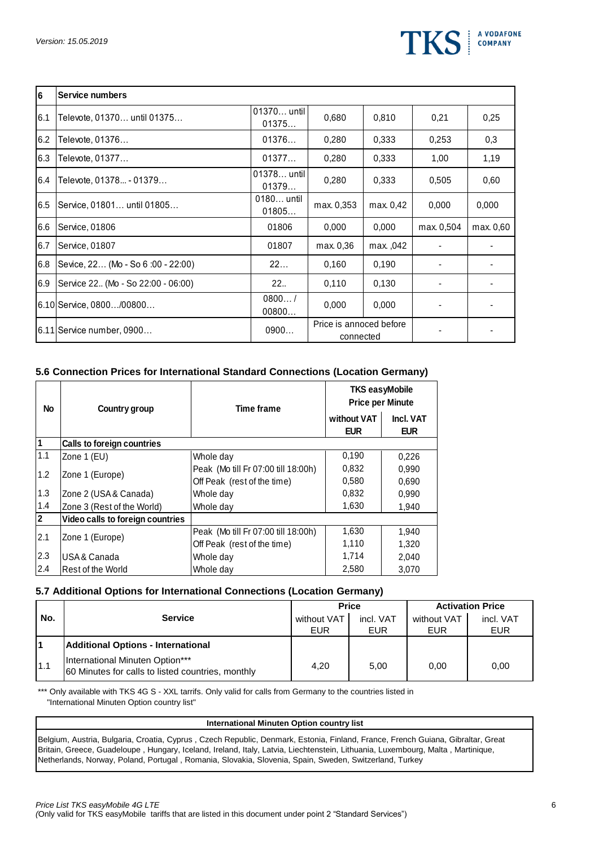

| 6   | Service numbers                     |                      |                                      |           |            |           |
|-----|-------------------------------------|----------------------|--------------------------------------|-----------|------------|-----------|
| 6.1 | Televote, 01370 until 01375         | 01370 until<br>01375 | 0,680                                | 0,810     | 0,21       | 0,25      |
| 6.2 | Televote, 01376                     | 01376                | 0,280                                | 0,333     | 0,253      | 0,3       |
| 6.3 | Televote, 01377                     | 01377                | 0,280                                | 0,333     | 1,00       | 1,19      |
| 6.4 | Televote, 01378 - 01379             | 01378 until<br>01379 | 0,280                                | 0,333     | 0,505      | 0,60      |
| 6.5 | Service, 01801 until 01805          | 0180 until<br>01805  | max. 0,353                           | max. 0,42 | 0,000      | 0,000     |
| 6.6 | Service, 01806                      | 01806                | 0,000                                | 0.000     | max. 0,504 | max. 0.60 |
| 6.7 | Service, 01807                      | 01807                | max. 0,36                            | max., 042 |            |           |
| 6.8 | Sevice, 22 (Mo - So 6:00 - 22:00)   | 22                   | 0,160                                | 0.190     |            |           |
| 6.9 | Service 22. (Mo - So 22:00 - 06:00) | 22                   | 0,110                                | 0.130     |            |           |
|     | 6.10 Service, 0800/00800            | 0800/<br>00800       | 0,000                                | 0,000     |            |           |
|     | 6.11 Service number, 0900           | 0900                 | Price is annoced before<br>connected |           |            |           |

#### **5.6 Connection Prices for International Standard Connections (Location Germany)**

| No             | Country group                     | <b>Time frame</b>                   | <b>TKS easyMobile</b><br><b>Price per Minute</b> |                         |  |
|----------------|-----------------------------------|-------------------------------------|--------------------------------------------------|-------------------------|--|
|                |                                   |                                     | without VAT<br><b>EUR</b>                        | Incl. VAT<br><b>EUR</b> |  |
|                | <b>Calls to foreign countries</b> |                                     |                                                  |                         |  |
| 1.1            | Zone 1 (EU)                       | Whole day                           | 0,190                                            | 0,226                   |  |
| 1.2            |                                   | Peak (Mo till Fr 07:00 till 18:00h) | 0,832                                            | 0,990                   |  |
|                | Zone 1 (Europe)                   | Off Peak (rest of the time)         | 0,580                                            | 0,690                   |  |
| 1.3            | Zone 2 (USA & Canada)             | Whole day                           | 0,832                                            | 0,990                   |  |
| 1.4            | Zone 3 (Rest of the World)        | Whole day                           | 1,630                                            | 1,940                   |  |
| $\overline{2}$ | Video calls to foreign countries  |                                     |                                                  |                         |  |
| 2.1            | Zone 1 (Europe)                   | Peak (Mo till Fr 07:00 till 18:00h) | 1,630                                            | 1,940                   |  |
|                |                                   | Off Peak (rest of the time)         | 1,110                                            | 1,320                   |  |
| 2.3            | IUSA & Canada                     | Whole day                           | 1,714                                            | 2,040                   |  |
| 2.4            | Rest of the World                 | Whole day                           | 2,580                                            | 3,070                   |  |

#### **5.7 Additional Options for International Connections (Location Germany)**

|     |                                                                                      |             | <b>Price</b> | <b>Activation Price</b> |            |
|-----|--------------------------------------------------------------------------------------|-------------|--------------|-------------------------|------------|
| No. | <b>Service</b>                                                                       | without VAT | incl. VAT    | without VAT             | incl. VAT  |
|     |                                                                                      | EUR         | <b>EUR</b>   | EUR                     | <b>EUR</b> |
|     | <b>Additional Options - International</b>                                            |             |              |                         |            |
| 1.1 | International Minuten Option***<br>60 Minutes for calls to listed countries, monthly | 4.20        | 5.00         | 0.00                    | 0.00       |

\*\*\* Only available with TKS 4G S - XXL tarrifs. Only valid for calls from Germany to the countries listed in "International Minuten Option country list"

#### **International Minuten Option country list**

Belgium, Austria, Bulgaria, Croatia, Cyprus , Czech Republic, Denmark, Estonia, Finland, France, French Guiana, Gibraltar, Great Britain, Greece, Guadeloupe , Hungary, Iceland, Ireland, Italy, Latvia, Liechtenstein, Lithuania, Luxembourg, Malta , Martinique, Netherlands, Norway, Poland, Portugal , Romania, Slovakia, Slovenia, Spain, Sweden, Switzerland, Turkey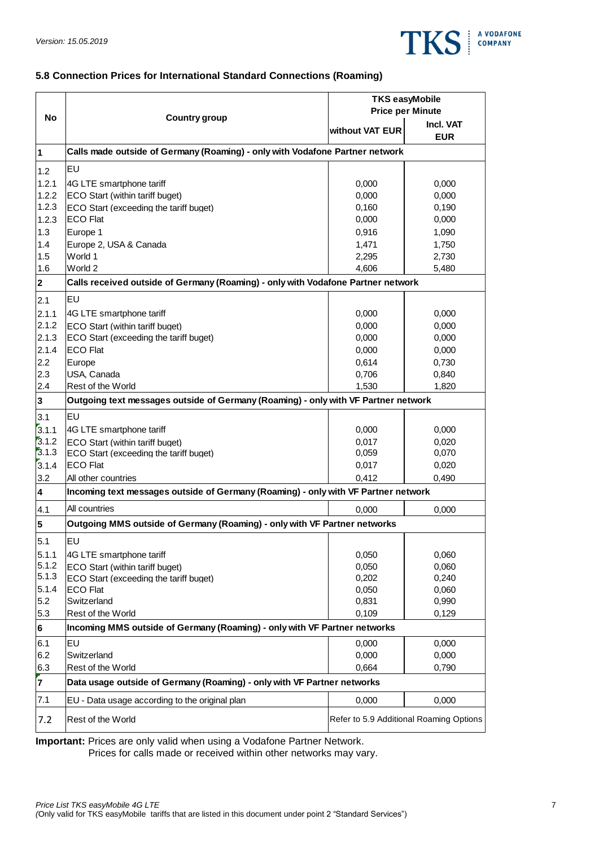

# **5.8 Connection Prices for International Standard Connections (Roaming)**

|                         |                                                                                    | <b>TKS easyMobile</b>   |                                         |  |  |
|-------------------------|------------------------------------------------------------------------------------|-------------------------|-----------------------------------------|--|--|
| <b>No</b>               |                                                                                    | <b>Price per Minute</b> |                                         |  |  |
|                         | <b>Country group</b>                                                               | without VAT EUR         | Incl. VAT<br><b>EUR</b>                 |  |  |
| $\overline{\mathbf{1}}$ | Calls made outside of Germany (Roaming) - only with Vodafone Partner network       |                         |                                         |  |  |
| 1.2                     | EU                                                                                 |                         |                                         |  |  |
| 1.2.1                   | 4G LTE smartphone tariff                                                           | 0,000                   | 0,000                                   |  |  |
| 1.2.2                   | ECO Start (within tariff buget)                                                    | 0,000                   | 0,000                                   |  |  |
| 1.2.3                   | ECO Start (exceeding the tariff buget)                                             | 0,160                   | 0,190                                   |  |  |
| 1.2.3                   | <b>ECO Flat</b>                                                                    | 0,000                   | 0,000                                   |  |  |
| 1.3                     | Europe 1                                                                           | 0,916                   | 1,090                                   |  |  |
| 1.4                     | Europe 2, USA & Canada                                                             | 1,471                   | 1,750                                   |  |  |
| 1.5                     | World 1                                                                            | 2,295                   | 2,730                                   |  |  |
| 1.6                     | World 2                                                                            | 4,606                   | 5,480                                   |  |  |
| $\overline{\mathbf{2}}$ | Calls received outside of Germany (Roaming) - only with Vodafone Partner network   |                         |                                         |  |  |
| 2.1                     | EU                                                                                 |                         |                                         |  |  |
| 2.1.1                   | 4G LTE smartphone tariff                                                           | 0,000                   | 0,000                                   |  |  |
| 2.1.2                   | ECO Start (within tariff buget)                                                    | 0,000                   | 0,000                                   |  |  |
| 2.1.3                   | ECO Start (exceeding the tariff buget)                                             | 0,000                   | 0,000                                   |  |  |
| 2.1.4                   | <b>ECO Flat</b>                                                                    | 0,000                   | 0,000                                   |  |  |
| 2.2                     | Europe                                                                             | 0,614                   | 0,730                                   |  |  |
| 2.3                     | USA, Canada                                                                        | 0,706                   | 0,840                                   |  |  |
| 2.4                     | Rest of the World                                                                  | 1,530                   | 1,820                                   |  |  |
| $\overline{\mathbf{3}}$ | Outgoing text messages outside of Germany (Roaming) - only with VF Partner network |                         |                                         |  |  |
| 3.1                     | EU                                                                                 |                         |                                         |  |  |
| 3.1.1                   | 4G LTE smartphone tariff                                                           | 0,000                   | 0,000                                   |  |  |
| 3.1.2                   | ECO Start (within tariff buget)                                                    | 0,017                   | 0,020                                   |  |  |
| 3.1.3                   | ECO Start (exceeding the tariff buget)                                             | 0,059                   | 0,070                                   |  |  |
| 3.1.4                   | <b>ECO Flat</b>                                                                    | 0,017                   | 0,020                                   |  |  |
| 3.2                     | All other countries                                                                | 0,412                   | 0,490                                   |  |  |
| $\overline{\mathbf{4}}$ | Incoming text messages outside of Germany (Roaming) - only with VF Partner network |                         |                                         |  |  |
| 4.1                     | All countries                                                                      | 0,000                   | 0,000                                   |  |  |
| 5                       | Outgoing MMS outside of Germany (Roaming) - only with VF Partner networks          |                         |                                         |  |  |
| 5.1                     | EU                                                                                 |                         |                                         |  |  |
| 5.1.1                   | 4G LTE smartphone tariff                                                           | 0,050                   | 0,060                                   |  |  |
| 5.1.2<br>5.1.3          | ECO Start (within tariff buget)                                                    | 0,050                   | 0,060                                   |  |  |
| 5.1.4                   | ECO Start (exceeding the tariff buget)<br><b>ECO Flat</b>                          | 0,202<br>0,050          | 0,240<br>0,060                          |  |  |
| 5.2                     | Switzerland                                                                        | 0,831                   | 0,990                                   |  |  |
| 5.3                     | Rest of the World                                                                  | 0,109                   | 0,129                                   |  |  |
| 6                       | Incoming MMS outside of Germany (Roaming) - only with VF Partner networks          |                         |                                         |  |  |
| 6.1                     | EU                                                                                 | 0,000                   | 0,000                                   |  |  |
| 6.2                     | Switzerland                                                                        | 0,000                   | 0,000                                   |  |  |
| 6.3                     | Rest of the World                                                                  | 0,664                   | 0,790                                   |  |  |
| $\mathbf{z}$            | Data usage outside of Germany (Roaming) - only with VF Partner networks            |                         |                                         |  |  |
| 7.1                     | EU - Data usage according to the original plan                                     | 0,000                   | 0,000                                   |  |  |
| 7.2                     | Rest of the World                                                                  |                         | Refer to 5.9 Additional Roaming Options |  |  |

**Important:** Prices are only valid when using a Vodafone Partner Network.

Prices for calls made or received within other networks may vary.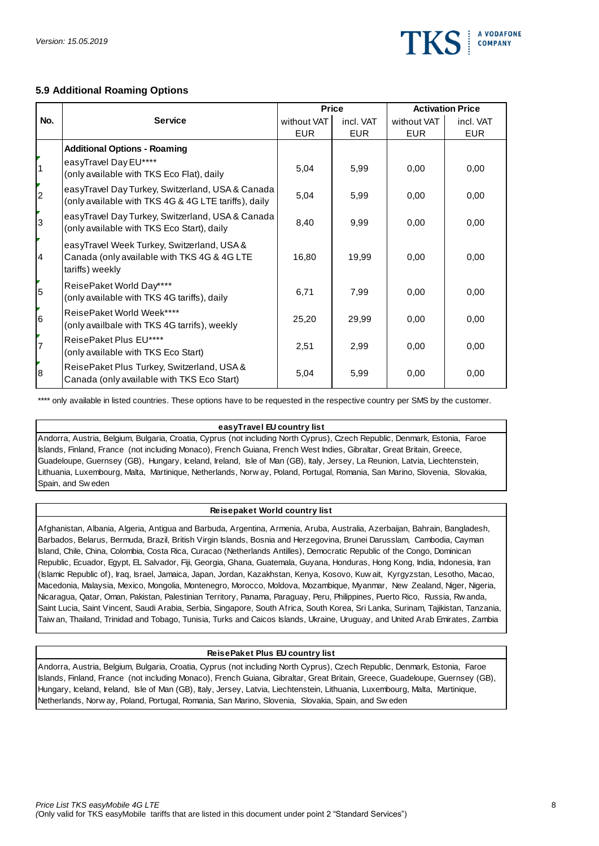

# **5.9 Additional Roaming Options**

|                |                                                                                                              |             | <b>Price</b> | <b>Activation Price</b> |            |
|----------------|--------------------------------------------------------------------------------------------------------------|-------------|--------------|-------------------------|------------|
| No.            | <b>Service</b>                                                                                               | without VAT | incl. VAT    | without VAT             | incl. VAT  |
|                |                                                                                                              | <b>EUR</b>  | <b>EUR</b>   | <b>EUR</b>              | <b>EUR</b> |
|                | <b>Additional Options - Roaming</b>                                                                          |             |              |                         |            |
| $\vert$ 1      | easyTravel Day EU****<br>(only available with TKS Eco Flat), daily                                           | 5,04        | 5,99         | 0.00                    | 0.00       |
| 2              | easyTravel Day Turkey, Switzerland, USA & Canada<br>(only available with TKS 4G & 4G LTE tariffs), daily     | 5,04        | 5,99         | 0,00                    | 0,00       |
| 3              | easyTravel Day Turkey, Switzerland, USA & Canada<br>(only available with TKS Eco Start), daily               | 8,40        | 9,99         | 0.00                    | 0,00       |
| $\overline{4}$ | easyTravel Week Turkey, Switzerland, USA &<br>Canada (only available with TKS 4G & 4G LTE<br>tariffs) weekly | 16,80       | 19,99        | 0,00                    | 0,00       |
| 5              | ReisePaket World Day****<br>(only available with TKS 4G tariffs), daily                                      | 6,71        | 7,99         | 0,00                    | 0,00       |
| 6              | ReisePaket World Week****<br>(only availbale with TKS 4G tarrifs), weekly                                    | 25,20       | 29,99        | 0,00                    | 0,00       |
| $\overline{7}$ | ReisePaket Plus EU****<br>(only available with TKS Eco Start)                                                | 2,51        | 2,99         | 0,00                    | 0,00       |
| 8              | ReisePaket Plus Turkey, Switzerland, USA &<br>Canada (only available with TKS Eco Start)                     | 5,04        | 5,99         | 0,00                    | 0,00       |

\*\*\*\* only available in listed countries. These options have to be requested in the respective country per SMS by the customer.

#### **easyTravel EU country list**

Andorra, Austria, Belgium, Bulgaria, Croatia, Cyprus (not including North Cyprus), Czech Republic, Denmark, Estonia, Faroe<br>Islands, Finland, France (not including Monaco), French Guiana, French West Indies, Gibraltar, Grea Islands, Finland, France (not including Monaco), French Guiana, French West Indies, Gibraltar, Great Britain, Greece, Guadeloupe, Guernsey (GB), Hungary, Iceland, Ireland, Isle of Man (GB), Italy, Jersey, La Reunion, Latvi Guadeloupe, Guernsey (GB), Hungary, Iceland, Ireland, Isle of Man (GB), Italy, Jersey, La Reunion, Latvia, Liechtenstein,

#### **Reisepaket World country list**

Afghanistan, Albania, Algeria, Antigua and Barbuda, Argentina, Armenia, Aruba, Australia, Azerbaijan, Bahrain, Bangladesh, Barbados, Belarus, Bermuda, Brazil, British Virgin Islands, Bosnia and Herzegovina, Brunei Darusslam, Cambodia, Cayman<br>Island, Chile, China, Colombia, Costa Rica, Curacao (Netherlands Antilles), Democratic Republic of the Island, Chile, China, Colombia, Costa Rica, Curacao (Netherlands Antilles), Democratic Republic of the Congo, Dominican Republic, Ecuador, Egypt, EL Salvador, Fiji, Georgia, Ghana, Guatemala, Guyana, Honduras, Hong Kong, India, Indonesia, Iran Island, Chile, China, Colombia, Costa Rica, Curacao (Netherlands Antilles), Democratic Republic of the Congo, Dominican<br>Republic, Ecuador, Egypt, EL Salvador, Fiji, Georgia, Ghana, Guatemala, Guyana, Honduras, Hong Kong, I Republic, Ecuador, Egypt, EL Salvador, Fiji, Georgia, Ghana, Guatemala, Guyana, Honduras, Hong Kong, India, Indonesia, Irar<br>(Islamic Republic of), Iraq, Israel, Jamaica, Japan, Jordan, Kazakhstan, Kenya, Kosovo, Kuw ait, K Saint Lucia, Saint Vincent, Saudi Arabia, Serbia, Singapore, South Africa, South Korea, Sri Lanka, Surinam, Tajikistan, Tanzania, Macedonia, Malaysia, Mexico, Mongolia, Montenegro, Morocco, Moldova, Mozambique, Myanmar, New Zealand, Niger, Nigeria,<br>Nicaragua, Qatar, Oman, Pakistan, Palestinian Territory, Panama, Paraguay, Peru, Philippines, Puerto Ri

#### **ReisePaket Plus EU country list**

Andorra, Austria, Belgium, Bulgaria, Croatia, Cyprus (not including North Cyprus), Czech Republic, Denmark, Estonia, Faroe<br>Islands, Finland, France (not including Monaco), French Guiana, Gibraltar, Great Britain, Greece, G Islands, Finland, France (not including Monaco), French Guiana, Gibraltar, Great Britain, Greece, Guadeloupe, Guernsey (GB), Hungary, Iceland, Ireland, Isle of Man (GB), Italy, Jersey, Latvia, Liechtenstein, Lithuania, Luxembourg, Malta, Martinique,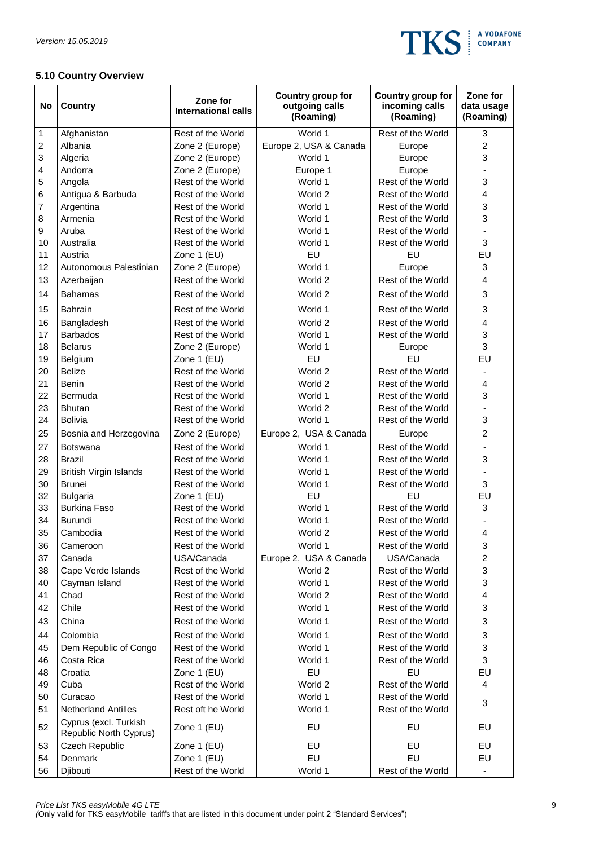

# **5.10 Country Overview**

| No                      | <b>Country</b>                                  | Zone for<br><b>International calls</b> | Country group for<br>outgoing calls<br>(Roaming) | Country group for<br>incoming calls<br>(Roaming) | Zone for<br>data usage<br>(Roaming) |
|-------------------------|-------------------------------------------------|----------------------------------------|--------------------------------------------------|--------------------------------------------------|-------------------------------------|
| 1                       | Afghanistan                                     | Rest of the World                      | World 1                                          | Rest of the World                                | 3                                   |
| $\overline{\mathbf{c}}$ | Albania                                         | Zone 2 (Europe)                        | Europe 2, USA & Canada                           | Europe                                           | $\overline{c}$                      |
| 3                       | Algeria                                         | Zone 2 (Europe)                        | World 1                                          | Europe                                           | 3                                   |
| 4                       | Andorra                                         | Zone 2 (Europe)                        | Europe 1                                         | Europe                                           |                                     |
| 5                       | Angola                                          | Rest of the World                      | World 1                                          | Rest of the World                                | 3                                   |
| 6                       | Antigua & Barbuda                               | Rest of the World                      | World 2                                          | Rest of the World                                | 4                                   |
| 7                       | Argentina                                       | Rest of the World                      | World 1                                          | Rest of the World                                | 3                                   |
| 8                       | Armenia                                         | Rest of the World                      | World 1                                          | Rest of the World                                | 3                                   |
| 9                       | Aruba                                           | Rest of the World                      | World 1                                          | Rest of the World                                |                                     |
| 10                      | Australia                                       | Rest of the World                      | World 1                                          | Rest of the World                                | 3                                   |
| 11                      | Austria                                         | Zone 1 (EU)                            | EU                                               | EU                                               | EU                                  |
| 12                      | Autonomous Palestinian                          | Zone 2 (Europe)                        | World 1                                          | Europe                                           | 3                                   |
| 13                      | Azerbaijan                                      | Rest of the World                      | World 2                                          | Rest of the World                                | 4                                   |
| 14                      | <b>Bahamas</b>                                  | Rest of the World                      | World 2                                          | Rest of the World                                | 3                                   |
| 15                      | <b>Bahrain</b>                                  | Rest of the World                      | World 1                                          | Rest of the World                                | 3                                   |
| 16                      | Bangladesh                                      | Rest of the World                      | World 2                                          | Rest of the World                                | $\overline{\mathbf{4}}$             |
| 17                      | <b>Barbados</b>                                 | Rest of the World                      | World 1                                          | Rest of the World                                | 3                                   |
| 18                      | <b>Belarus</b>                                  | Zone 2 (Europe)                        | World 1                                          | Europe                                           | 3                                   |
| 19                      | Belgium                                         | Zone 1 (EU)                            | EU                                               | EU                                               | EU                                  |
| 20                      | <b>Belize</b>                                   | Rest of the World                      | World 2                                          | Rest of the World                                |                                     |
| 21                      | Benin                                           | Rest of the World                      | World 2                                          | Rest of the World                                | 4                                   |
| 22                      | Bermuda                                         | Rest of the World                      | World 1                                          | Rest of the World                                | 3                                   |
| 23                      | <b>Bhutan</b>                                   | Rest of the World                      | World 2                                          | Rest of the World                                | $\blacksquare$                      |
| 24                      | <b>Bolivia</b>                                  | Rest of the World                      | World 1                                          | Rest of the World                                | 3                                   |
| 25                      | Bosnia and Herzegovina                          | Zone 2 (Europe)                        | Europe 2, USA & Canada                           | Europe                                           | $\overline{c}$                      |
| 27                      | <b>Botswana</b>                                 | Rest of the World                      | World 1                                          | Rest of the World                                |                                     |
| 28                      | <b>Brazil</b>                                   | Rest of the World                      | World 1                                          | Rest of the World                                | 3                                   |
| 29                      | <b>British Virgin Islands</b>                   | Rest of the World                      | World 1                                          | Rest of the World                                |                                     |
| 30                      | <b>Brunei</b>                                   | Rest of the World                      | World 1                                          | Rest of the World                                | 3                                   |
| 32                      | <b>Bulgaria</b>                                 | Zone 1 (EU)                            | EU                                               | EU                                               | EU                                  |
| 33                      | <b>Burkina Faso</b>                             | Rest of the World                      | World 1                                          | Rest of the World                                | 3                                   |
| 34                      | <b>Burundi</b>                                  | Rest of the World                      | World 1                                          | Rest of the World                                |                                     |
| 35                      | Cambodia                                        | Rest of the World                      | World 2                                          | Rest of the World                                | 4                                   |
| 36                      | Cameroon                                        | Rest of the World                      | World 1                                          | Rest of the World                                | 3                                   |
| 37                      | Canada                                          | USA/Canada                             | Europe 2, USA & Canada                           | USA/Canada                                       | $\overline{c}$                      |
| 38                      | Cape Verde Islands                              | Rest of the World                      | World 2                                          | Rest of the World                                | 3                                   |
| 40                      | Cayman Island                                   | Rest of the World                      | World 1                                          | Rest of the World                                | 3                                   |
| 41                      | Chad                                            | Rest of the World                      | World 2                                          | Rest of the World                                | $\overline{\mathbf{4}}$             |
| 42                      | Chile                                           | Rest of the World                      | World 1                                          | Rest of the World                                | 3                                   |
| 43                      | China                                           | Rest of the World                      | World 1                                          | Rest of the World                                | 3                                   |
| 44                      | Colombia                                        | Rest of the World                      | World 1                                          | Rest of the World                                | 3                                   |
| 45                      | Dem Republic of Congo                           | Rest of the World                      | World 1                                          | Rest of the World                                | 3                                   |
| 46                      | Costa Rica                                      | Rest of the World                      | World 1                                          | Rest of the World                                | 3                                   |
| 48                      | Croatia                                         | Zone 1 (EU)                            | EU                                               | EU                                               | EU                                  |
| 49                      | Cuba                                            | Rest of the World                      | World 2                                          | Rest of the World                                | 4                                   |
| 50                      | Curacao                                         | Rest of the World                      | World 1                                          | Rest of the World                                |                                     |
| 51                      | <b>Netherland Antilles</b>                      | Rest oft he World                      | World 1                                          | Rest of the World                                | 3                                   |
| 52                      | Cyprus (excl. Turkish<br>Republic North Cyprus) | Zone 1 (EU)                            | EU                                               | EU                                               | EU                                  |
| 53                      | Czech Republic                                  | Zone 1 (EU)                            | EU                                               | EU                                               | EU                                  |
| 54                      | Denmark                                         | Zone 1 (EU)                            | EU                                               | EU                                               | EU                                  |
| 56                      | Djibouti                                        | Rest of the World                      | World 1                                          | Rest of the World                                | $\overline{\phantom{a}}$            |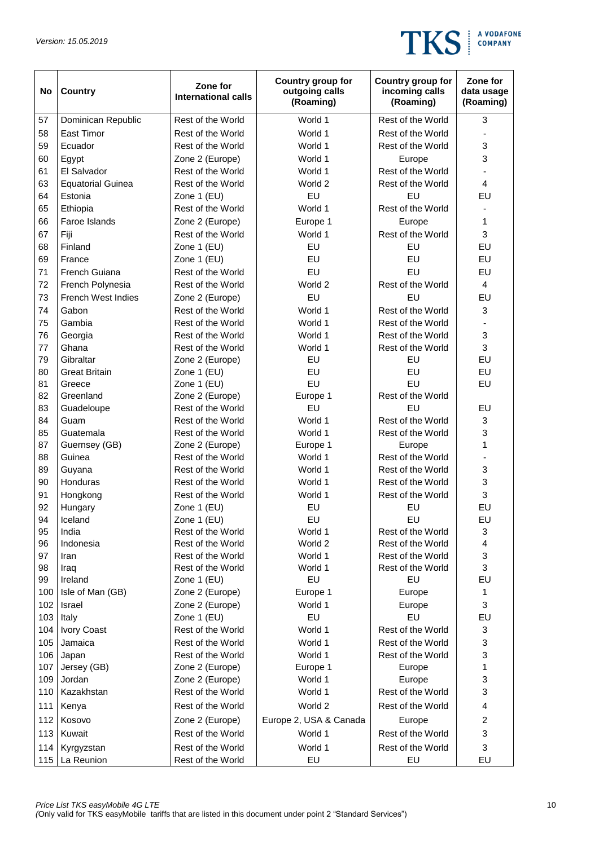

| No         | Country                   | Zone for<br><b>International calls</b> | Country group for<br>outgoing calls<br>(Roaming) | Country group for<br>incoming calls<br>(Roaming) | Zone for<br>data usage<br>(Roaming) |
|------------|---------------------------|----------------------------------------|--------------------------------------------------|--------------------------------------------------|-------------------------------------|
| 57         | Dominican Republic        | Rest of the World                      | World 1                                          | Rest of the World                                | 3                                   |
| 58         | <b>East Timor</b>         | Rest of the World                      | World 1                                          | Rest of the World                                |                                     |
| 59         | Ecuador                   | Rest of the World                      | World 1                                          | Rest of the World                                | 3                                   |
| 60         | Egypt                     | Zone 2 (Europe)                        | World 1                                          | Europe                                           | 3                                   |
| 61         | El Salvador               | Rest of the World                      | World 1                                          | Rest of the World                                |                                     |
| 63         | <b>Equatorial Guinea</b>  | Rest of the World                      | World 2                                          | Rest of the World                                | $\overline{\mathbf{4}}$             |
| 64         | Estonia                   | Zone 1 (EU)                            | EU                                               | EU                                               | EU                                  |
| 65         | Ethiopia                  | Rest of the World                      | World 1                                          | Rest of the World                                |                                     |
| 66         | Faroe Islands             | Zone 2 (Europe)                        | Europe 1                                         | Europe                                           | 1                                   |
| 67         | Fiji                      | Rest of the World                      | World 1                                          | Rest of the World                                | 3                                   |
| 68         | Finland                   | Zone 1 (EU)                            | EU                                               | EU                                               | EU                                  |
| 69         | France                    | Zone 1 (EU)                            | EU                                               | EU                                               | EU                                  |
| 71         | French Guiana             | Rest of the World                      | EU                                               | EU                                               | EU                                  |
| 72         | French Polynesia          | Rest of the World                      | World 2                                          | Rest of the World                                | $\overline{4}$                      |
| 73         | <b>French West Indies</b> | Zone 2 (Europe)                        | EU                                               | EU                                               | EU                                  |
| 74         | Gabon                     | Rest of the World                      | World 1                                          | Rest of the World                                | 3                                   |
| 75         | Gambia                    | Rest of the World                      | World 1                                          | Rest of the World                                |                                     |
| 76         | Georgia                   | Rest of the World                      | World 1                                          | Rest of the World                                | 3                                   |
| 77         | Ghana                     | Rest of the World                      | World 1                                          | Rest of the World                                | 3                                   |
| 79         | Gibraltar                 | Zone 2 (Europe)                        | EU                                               | EU                                               | EU                                  |
| 80         | <b>Great Britain</b>      | Zone 1 (EU)                            | EU                                               | EU                                               | EU                                  |
| 81         | Greece                    | Zone 1 (EU)                            | EU                                               | EU                                               | EU                                  |
| 82         | Greenland                 | Zone 2 (Europe)                        | Europe 1                                         | Rest of the World                                |                                     |
| 83         | Guadeloupe                | Rest of the World                      | EU                                               | EU                                               | EU                                  |
| 84         | Guam                      | Rest of the World                      | World 1                                          | Rest of the World                                | 3                                   |
| 85         | Guatemala                 | Rest of the World                      | World 1                                          | Rest of the World                                | 3                                   |
| 87         | Guernsey (GB)             | Zone 2 (Europe)                        | Europe 1                                         | Europe                                           | 1                                   |
| 88         | Guinea                    | Rest of the World                      | World 1                                          | Rest of the World                                |                                     |
| 89         | Guyana                    | Rest of the World                      | World 1                                          | Rest of the World                                | 3                                   |
| 90         | Honduras                  | Rest of the World                      | World 1                                          | Rest of the World                                | 3                                   |
| 91         | Hongkong                  | Rest of the World                      | World 1                                          | Rest of the World                                | 3                                   |
| 92         | Hungary                   | Zone 1 (EU)                            | EU                                               | EU                                               | EU                                  |
| 94         | Iceland                   | Zone 1 (EU)                            | EU                                               | EU                                               | EU                                  |
| 95         | India                     | Rest of the World                      | World 1                                          | Rest of the World                                | 3                                   |
| 96         | Indonesia                 | Rest of the World                      | World 2                                          | Rest of the World                                | 4                                   |
| 97         | Iran                      | Rest of the World                      | World 1                                          | Rest of the World                                | 3                                   |
| 98         | Iraq                      | Rest of the World                      | World 1                                          | Rest of the World                                | 3                                   |
| 99         | Ireland                   | Zone 1 (EU)                            | EU                                               | EU                                               | EU                                  |
| 100        | Isle of Man (GB)          | Zone 2 (Europe)                        | Europe 1                                         | Europe                                           | 1                                   |
| 102        | Israel                    | Zone 2 (Europe)                        | World 1<br>EU                                    | Europe<br>EU                                     | 3                                   |
| 103        | Italy                     | Zone 1 (EU)                            |                                                  |                                                  | EU                                  |
| 104        | Ivory Coast<br>Jamaica    | Rest of the World                      | World 1                                          | Rest of the World                                | 3                                   |
| 105        |                           | Rest of the World<br>Rest of the World | World 1                                          | Rest of the World                                | 3                                   |
| 106<br>107 | Japan                     |                                        | World 1                                          | Rest of the World                                | 3<br>$\mathbf{1}$                   |
| 109        | Jersey (GB)<br>Jordan     | Zone 2 (Europe)<br>Zone 2 (Europe)     | Europe 1<br>World 1                              | Europe<br>Europe                                 | 3                                   |
| 110        | Kazakhstan                | Rest of the World                      | World 1                                          | Rest of the World                                | 3                                   |
| 111        | Kenya                     | Rest of the World                      | World 2                                          | Rest of the World                                | 4                                   |
| 112        | Kosovo                    | Zone 2 (Europe)                        | Europe 2, USA & Canada                           | Europe                                           | $\overline{c}$                      |
| 113        | Kuwait                    | Rest of the World                      | World 1                                          | Rest of the World                                | 3                                   |
| 114        | Kyrgyzstan                | Rest of the World                      | World 1                                          | Rest of the World                                | 3                                   |
| 115        | La Reunion                | Rest of the World                      | EU                                               | EU                                               | EU                                  |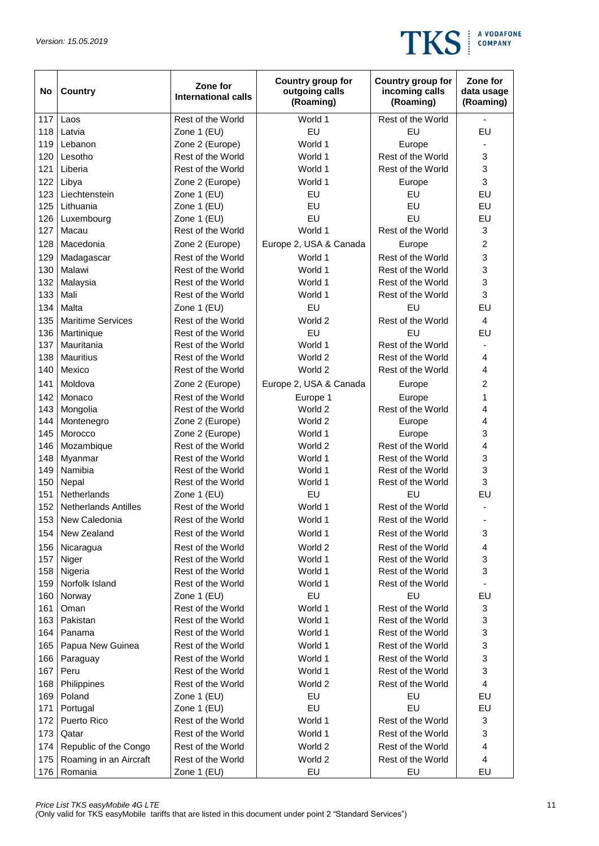

| No         | <b>Country</b>              | Zone for<br><b>International calls</b> | Country group for<br>outgoing calls<br>(Roaming) | Country group for<br>incoming calls<br>(Roaming) | Zone for<br>data usage<br>(Roaming) |
|------------|-----------------------------|----------------------------------------|--------------------------------------------------|--------------------------------------------------|-------------------------------------|
| 117        | Laos                        | Rest of the World                      | World 1                                          | Rest of the World                                | $\blacksquare$                      |
| 118        | Latvia                      | Zone 1 (EU)                            | EU                                               | EU                                               | EU                                  |
| 119        | Lebanon                     | Zone 2 (Europe)                        | World 1                                          | Europe                                           |                                     |
| 120        | Lesotho                     | Rest of the World                      | World 1                                          | Rest of the World                                | 3                                   |
| 121        | Liberia                     | Rest of the World                      | World 1                                          | Rest of the World                                | 3                                   |
| 122        | Libya                       | Zone 2 (Europe)                        | World 1                                          | Europe                                           | $\mathsf 3$                         |
| 123        | Liechtenstein               | Zone 1 (EU)                            | EU                                               | EU                                               | EU                                  |
| 125        | Lithuania                   | Zone 1 (EU)                            | EU                                               | EU                                               | EU                                  |
| 126        | Luxembourg                  | Zone 1 (EU)                            | EU                                               | EU                                               | EU                                  |
| 127        | Macau                       | Rest of the World                      | World 1                                          | Rest of the World                                | 3                                   |
| 128        | Macedonia                   | Zone 2 (Europe)                        | Europe 2, USA & Canada                           | Europe                                           | $\overline{c}$                      |
| 129        | Madagascar                  | Rest of the World                      | World 1                                          | Rest of the World                                | 3                                   |
| 130        | Malawi                      | Rest of the World                      | World 1                                          | Rest of the World                                | 3                                   |
| 132        | Malaysia                    | Rest of the World                      | World 1                                          | Rest of the World                                | 3                                   |
| 133        | Mali                        | Rest of the World                      | World 1                                          | Rest of the World                                | 3                                   |
| 134        | Malta                       | Zone 1 (EU)                            | EU                                               | EU                                               | EU                                  |
| 135        | <b>Maritime Services</b>    | Rest of the World                      | World 2                                          | Rest of the World                                | $\overline{4}$                      |
| 136        | Martinique                  | Rest of the World                      | EU                                               | EU                                               | EU                                  |
| 137        | Mauritania                  | Rest of the World                      | World 1                                          | Rest of the World                                |                                     |
| 138        | <b>Mauritius</b>            | Rest of the World                      | World 2                                          | Rest of the World                                | 4                                   |
| 140        | Mexico                      | Rest of the World                      | World 2                                          | Rest of the World                                | 4                                   |
| 141        | Moldova                     | Zone 2 (Europe)                        | Europe 2, USA & Canada                           | Europe                                           | 2                                   |
| 142        | Monaco                      | Rest of the World                      |                                                  |                                                  | 1                                   |
| 143        | Mongolia                    | Rest of the World                      | Europe 1<br>World 2                              | Europe<br>Rest of the World                      | 4                                   |
| 144        | Montenegro                  | Zone 2 (Europe)                        | World 2                                          | Europe                                           | 4                                   |
| 145        | Morocco                     | Zone 2 (Europe)                        | World 1                                          | Europe                                           | 3                                   |
| 146        | Mozambique                  | Rest of the World                      | World 2                                          | Rest of the World                                | 4                                   |
| 148        | Myanmar                     | Rest of the World                      | World 1                                          | Rest of the World                                | 3                                   |
| 149        | Namibia                     | Rest of the World                      | World 1                                          | Rest of the World                                | 3                                   |
| 150        | Nepal                       | Rest of the World                      | World 1                                          | Rest of the World                                | 3                                   |
| 151        | Netherlands                 | Zone 1 (EU)                            | EU                                               | EU                                               | EU                                  |
| 152        | <b>Netherlands Antilles</b> | Rest of the World                      | World 1                                          | Rest of the World                                | $\qquad \qquad \blacksquare$        |
|            | 153 New Caledonia           | Rest of the World                      | World 1                                          | Rest of the World                                |                                     |
| 154        | New Zealand                 | Rest of the World                      | World 1                                          | Rest of the World                                | 3                                   |
|            |                             | Rest of the World                      |                                                  |                                                  |                                     |
| 156<br>157 | Nicaragua                   | Rest of the World                      | World 2<br>World 1                               | Rest of the World<br>Rest of the World           | 4<br>3                              |
| 158        | Niger<br>Nigeria            | Rest of the World                      | World 1                                          | Rest of the World                                | 3                                   |
| 159        | Norfolk Island              | Rest of the World                      | World 1                                          | Rest of the World                                |                                     |
| 160        | Norway                      | Zone 1 (EU)                            | EU                                               | EU                                               | EU                                  |
| 161        | Oman                        | Rest of the World                      | World 1                                          | Rest of the World                                | 3                                   |
| 163        | Pakistan                    | Rest of the World                      | World 1                                          | Rest of the World                                | 3                                   |
| 164        | Panama                      | Rest of the World                      | World 1                                          | Rest of the World                                | 3                                   |
| 165        | Papua New Guinea            | Rest of the World                      | World 1                                          | Rest of the World                                | 3                                   |
| 166        | Paraguay                    | Rest of the World                      | World 1                                          | Rest of the World                                | 3                                   |
| 167        | Peru                        | Rest of the World                      | World 1                                          | Rest of the World                                | $\mathsf 3$                         |
| 168        | Philippines                 | Rest of the World                      | World 2                                          | Rest of the World                                | $\overline{\mathbf{4}}$             |
| 169        | Poland                      | Zone 1 (EU)                            | EU                                               | EU                                               | EU                                  |
| 171        | Portugal                    | Zone 1 (EU)                            | EU                                               | EU                                               | EU                                  |
| 172        | Puerto Rico                 | Rest of the World                      | World 1                                          | Rest of the World                                | 3                                   |
| 173        | Qatar                       | Rest of the World                      | World 1                                          | Rest of the World                                | 3                                   |
| 174        | Republic of the Congo       | Rest of the World                      | World 2                                          | Rest of the World                                | 4                                   |
| 175        | Roaming in an Aircraft      | Rest of the World                      | World 2                                          | Rest of the World                                | $\overline{4}$                      |
| 176        | Romania                     | Zone 1 (EU)                            | EU                                               | EU                                               | EU                                  |